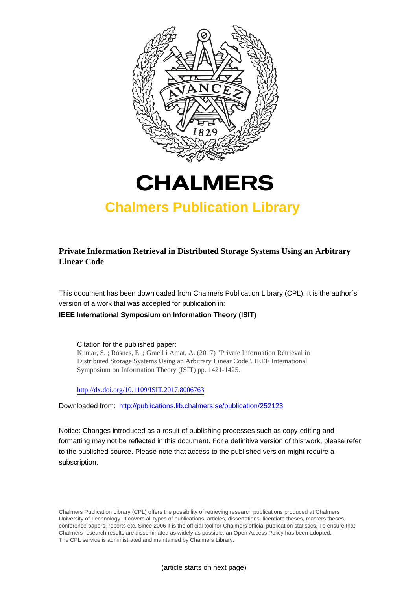



# **Chalmers Publication Library**

**Private Information Retrieval in Distributed Storage Systems Using an Arbitrary Linear Code**

This document has been downloaded from Chalmers Publication Library (CPL). It is the author´s version of a work that was accepted for publication in:

**IEEE International Symposium on Information Theory (ISIT)**

Citation for the published paper: Kumar, S. ; Rosnes, E. ; Graell i Amat, A. (2017) "Private Information Retrieval in Distributed Storage Systems Using an Arbitrary Linear Code". IEEE International Symposium on Information Theory (ISIT) pp. 1421-1425.

<http://dx.doi.org/10.1109/ISIT.2017.8006763>

Downloaded from: <http://publications.lib.chalmers.se/publication/252123>

Notice: Changes introduced as a result of publishing processes such as copy-editing and formatting may not be reflected in this document. For a definitive version of this work, please refer to the published source. Please note that access to the published version might require a subscription.

Chalmers Publication Library (CPL) offers the possibility of retrieving research publications produced at Chalmers University of Technology. It covers all types of publications: articles, dissertations, licentiate theses, masters theses, conference papers, reports etc. Since 2006 it is the official tool for Chalmers official publication statistics. To ensure that Chalmers research results are disseminated as widely as possible, an Open Access Policy has been adopted. The CPL service is administrated and maintained by Chalmers Library.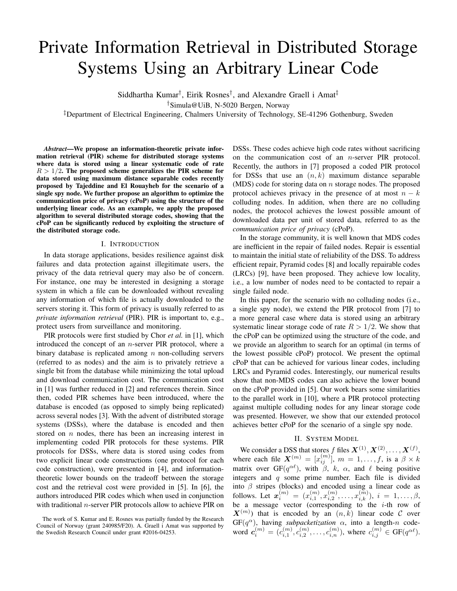# Private Information Retrieval in Distributed Storage Systems Using an Arbitrary Linear Code

Siddhartha Kumar<sup>†</sup>, Eirik Rosnes<sup>†</sup>, and Alexandre Graell i Amat<sup>‡</sup>

†Simula@UiB, N-5020 Bergen, Norway

‡Department of Electrical Engineering, Chalmers University of Technology, SE-41296 Gothenburg, Sweden

*Abstract*—We propose an information-theoretic private information retrieval (PIR) scheme for distributed storage systems where data is stored using a linear systematic code of rate  $R > 1/2$ . The proposed scheme generalizes the PIR scheme for data stored using maximum distance separable codes recently proposed by Tajeddine and El Rouayheb for the scenario of a single spy node. We further propose an algorithm to optimize the communication price of privacy (cPoP) using the structure of the underlying linear code. As an example, we apply the proposed algorithm to several distributed storage codes, showing that the cPoP can be significantly reduced by exploiting the structure of the distributed storage code.

#### I. INTRODUCTION

In data storage applications, besides resilience against disk failures and data protection against illegitimate users, the privacy of the data retrieval query may also be of concern. For instance, one may be interested in designing a storage system in which a file can be downloaded without revealing any information of which file is actually downloaded to the servers storing it. This form of privacy is usually referred to as *private information retrieval* (PIR). PIR is important to, e.g., protect users from surveillance and monitoring.

PIR protocols were first studied by Chor *et al.* in [1], which introduced the concept of an n-server PIR protocol, where a binary database is replicated among  $n$  non-colluding servers (referred to as nodes) and the aim is to privately retrieve a single bit from the database while minimizing the total upload and download communication cost. The communication cost in [1] was further reduced in [2] and references therein. Since then, coded PIR schemes have been introduced, where the database is encoded (as opposed to simply being replicated) across several nodes [3]. With the advent of distributed storage systems (DSSs), where the database is encoded and then stored on  $n$  nodes, there has been an increasing interest in implementing coded PIR protocols for these systems. PIR protocols for DSSs, where data is stored using codes from two explicit linear code constructions (one protocol for each code construction), were presented in [4], and informationtheoretic lower bounds on the tradeoff between the storage cost and the retrieval cost were provided in [5]. In [6], the authors introduced PIR codes which when used in conjunction with traditional n-server PIR protocols allow to achieve PIR on

DSSs. These codes achieve high code rates without sacrificing on the communication cost of an n-server PIR protocol. Recently, the authors in [7] proposed a coded PIR protocol for DSSs that use an  $(n, k)$  maximum distance separable (MDS) code for storing data on  $n$  storage nodes. The proposed protocol achieves privacy in the presence of at most  $n - k$ colluding nodes. In addition, when there are no colluding nodes, the protocol achieves the lowest possible amount of downloaded data per unit of stored data, referred to as the *communication price of privacy* (cPoP).

In the storage community, it is well known that MDS codes are inefficient in the repair of failed nodes. Repair is essential to maintain the initial state of reliability of the DSS. To address efficient repair, Pyramid codes [8] and locally repairable codes (LRCs) [9], have been proposed. They achieve low locality, i.e., a low number of nodes need to be contacted to repair a single failed node.

In this paper, for the scenario with no colluding nodes (i.e., a single spy node), we extend the PIR protocol from [7] to a more general case where data is stored using an arbitrary systematic linear storage code of rate  $R > 1/2$ . We show that the cPoP can be optimized using the structure of the code, and we provide an algorithm to search for an optimal (in terms of the lowest possible cPoP) protocol. We present the optimal cPoP that can be achieved for various linear codes, including LRCs and Pyramid codes. Interestingly, our numerical results show that non-MDS codes can also achieve the lower bound on the cPoP provided in [5]. Our work bears some similarities to the parallel work in [10], where a PIR protocol protecting against multiple colluding nodes for any linear storage code was presented. However, we show that our extended protocol achieves better cPoP for the scenario of a single spy node.

# II. SYSTEM MODEL

We consider a DSS that stores f files  $X^{(1)}, X^{(2)}, \ldots, X^{(f)},$ where each file  $\mathbf{X}^{(m)} = [x_{ij}^{(m)}], m = 1, \ldots, f$ , is a  $\beta \times k$ matrix over GF( $q^{\alpha\ell}$ ), with  $\beta$ , k,  $\alpha$ , and  $\ell$  being positive integers and  $q$  some prime number. Each file is divided into  $\beta$  stripes (blocks) and encoded using a linear code as follows. Let  $\mathbf{x}_i^{(m)} = (x_{i,1}^{(m)}, x_{i,2}^{(m)}, \ldots, x_{i,k}^{(m)}), i = 1, \ldots, \beta,$ be a message vector (corresponding to the  $i$ -th row of  $\mathbf{X}^{(m)}$ ) that is encoded by an  $(n, k)$  linear code C over  $GF(q^{\alpha})$ , having *subpacketization*  $\alpha$ , into a length-n codeword  $c_i^{(m)} = (c_{i,1}^{(m)}, c_{i,2}^{(m)}, \ldots, c_{i,n}^{(m)})$ , where  $c_{i,j}^{(m)} \in \text{GF}(q^{\alpha \ell})$ .

The work of S. Kumar and E. Rosnes was partially funded by the Research Council of Norway (grant 240985/F20). A. Graell i Amat was supported by the Swedish Research Council under grant #2016-04253.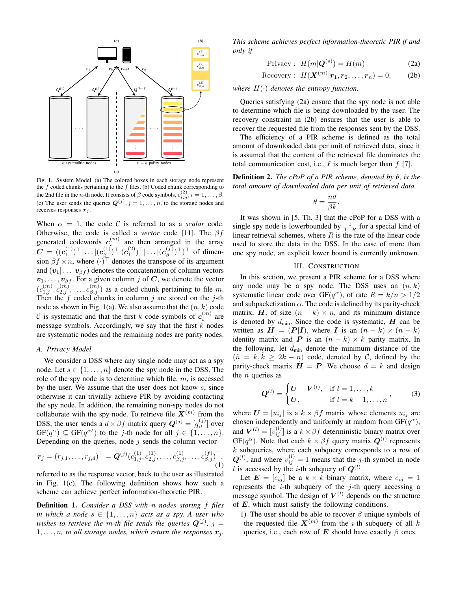

Fig. 1. System Model. (a) The colored boxes in each storage node represent the  $f$  coded chunks pertaining to the  $f$  files. (b) Coded chunk corresponding to the 2nd file in the *n*-th node. It consists of  $\beta$  code symbols,  $c_{i,n}^{(2)}$ ,  $i = 1, ..., \beta$ . (c) The user sends the queries  $Q^{(j)}$ ,  $j = 1, ..., n$ , to the storage nodes and receives responses  $r_j$ .

When  $\alpha = 1$ , the code C is referred to as a *scalar* code. Otherwise, the code is called a *vector* code [11]. The βf generated codewords  $c_i^{(m)}$  are then arranged in the array  $\boldsymbol{C}\,=\,((\boldsymbol{c}_1^{(1)})^\top|\ldots|(\boldsymbol{c}_\beta^{(1)})$  $\hat{c}_{\beta}^{(1)})^{\top}|(\bm{c}_{1}^{(2)})^{\top}|\ldots|(\bm{c}_{\beta}^{(f)})$  $\binom{f}{\beta}$ <sup>T</sup>)<sup>T</sup> of dimension  $\beta f \times n$ , where  $(\cdot)^{\top}$  denotes the transpose of its argument and  $(v_1 | \ldots | v_{\beta f})$  denotes the concatenation of column vectors  $v_1, \ldots, v_{\beta f}$ . For a given column j of C, we denote the vector  $(c_{1,j}^{(m)}, c_{2,j}^{(m)}, \ldots, c_{\beta,j}^{(m)})$  as a coded chunk pertaining to file m. Then the  $f$  coded chunks in column  $j$  are stored on the  $j$ -th node as shown in Fig. 1(a). We also assume that the  $(n, k)$  code C is systematic and that the first k code symbols of  $c_i^{(m)}$  are message symbols. Accordingly, we say that the first  $k$  nodes are systematic nodes and the remaining nodes are parity nodes.

# *A. Privacy Model*

We consider a DSS where any single node may act as a spy node. Let  $s \in \{1, \ldots, n\}$  denote the spy node in the DSS. The role of the spy node is to determine which file,  $m$ , is accessed by the user. We assume that the user does not know s, since otherwise it can trivially achieve PIR by avoiding contacting the spy node. In addition, the remaining non-spy nodes do not collaborate with the spy node. To retrieve file  $X^{(m)}$  from the DSS, the user sends a  $d \times \beta f$  matrix query  $\mathbf{Q}^{(j)} = [q_{il}^{(j)}]$  over  $GF(q^{\alpha}) \subseteq GF(q^{\alpha \ell})$  to the j-th node for all  $j \in \{1, ..., n\}.$ Depending on the queries, node  $j$  sends the column vector

$$
\boldsymbol{r}_j = (r_{j,1}, \dots, r_{j,d})^\top = \boldsymbol{Q}^{(j)} (c_{1,j}^{(1)}, c_{2,j}^{(1)}, \dots, c_{\beta,j}^{(1)}, \dots, c_{\beta,j}^{(f)})^\top, \tag{1}
$$

referred to as the response vector, back to the user as illustrated in Fig. 1(c). The following definition shows how such a scheme can achieve perfect information-theoretic PIR.

Definition 1. *Consider a DSS with* n *nodes storing* f *files in which a node*  $s \in \{1, \ldots, n\}$  *acts as a spy. A user who* wishes to retrieve the m-th file sends the queries  $\mathbf{Q}^{(j)}$ ,  $j=1$  $1, \ldots, n$ , to all storage nodes, which return the responses  $r_j$ . *This scheme achieves perfect information-theoretic PIR if and only if*

$$
Pri\text{vacy}: H(m|\mathbf{Q}^{(s)}) = H(m) \tag{2a}
$$

$$
\text{Recovery}: H(\mathbf{X}^{(m)}|\mathbf{r}_1, \mathbf{r}_2, \dots, \mathbf{r}_n) = 0, \quad (2b)
$$

*where* H(·) *denotes the entropy function.*

Queries satisfying (2a) ensure that the spy node is not able to determine which file is being downloaded by the user. The recovery constraint in (2b) ensures that the user is able to recover the requested file from the responses sent by the DSS.

The efficiency of a PIR scheme is defined as the total amount of downloaded data per unit of retrieved data, since it is assumed that the content of the retrieved file dominates the total communication cost, i.e.,  $\ell$  is much larger than  $f$  [7].

Definition 2. *The cPoP of a PIR scheme, denoted by* θ*, is the total amount of downloaded data per unit of retrieved data,*

$$
\theta = \frac{nd}{\beta k}.
$$

It was shown in [5, Th. 3] that the cPoP for a DSS with a single spy node is lowerbounded by  $\frac{1}{1-R}$  for a special kind of linear retrieval schemes, where  $R$  is the rate of the linear code used to store the data in the DSS. In the case of more than one spy node, an explicit lower bound is currently unknown.

## III. CONSTRUCTION

In this section, we present a PIR scheme for a DSS where any node may be a spy node. The DSS uses an  $(n, k)$ systematic linear code over GF( $q^{\alpha}$ ), of rate  $R = k/n > 1/2$ and subpacketization  $\alpha$ . The code is defined by its parity-check matrix, H, of size  $(n - k) \times n$ , and its minimum distance is denoted by  $d_{\text{min}}$ . Since the code is systematic,  $H$  can be written as  $H = (P|I)$ , where I is an  $(n - k) \times (n - k)$ identity matrix and P is an  $(n - k) \times k$  parity matrix. In the following, let  $d_{\min}$  denote the minimum distance of the  $(\tilde{n} = k, k \geq 2k - n)$  code, denoted by  $\tilde{C}$ , defined by the parity-check matrix  $H = P$ . We choose  $d = k$  and design the  $n$  queries as

$$
\mathbf{Q}^{(l)} = \begin{cases} \mathbf{U} + \mathbf{V}^{(l)}, & \text{if } l = 1, ..., k \\ \mathbf{U}, & \text{if } l = k + 1, ..., n \end{cases}
$$
 (3)

where  $\mathbf{U} = [u_{ij}]$  is a  $k \times \beta f$  matrix whose elements  $u_{ij}$  are chosen independently and uniformly at random from  $GF(q^{\alpha})$ , and  $V^{(l)} = [v_{ij}^{(l)}]$  is a  $k \times \beta f$  deterministic binary matrix over  $GF(q^{\alpha})$ . Note that each  $k \times \beta f$  query matrix  $Q^{(l)}$  represents  $k$  subqueries, where each subquery corresponds to a row of  $Q^{(l)}$ , and where  $v_{ij}^{(l)} = 1$  means that the j-th symbol in node l is accessed by the i-th subquery of  $Q^{(l)}$ .

Let  $\mathbf{E} = [e_{ij}]$  be a  $k \times k$  binary matrix, where  $e_{ij} = 1$ represents the  $i$ -th subquery of the  $j$ -th query accessing a message symbol. The design of  $V^{(l)}$  depends on the structure of  $E$ , which must satisfy the following conditions.

1) The user should be able to recover  $\beta$  unique symbols of the requested file  $X^{(m)}$  from the *i*-th subquery of all k queries, i.e., each row of E should have exactly  $\beta$  ones.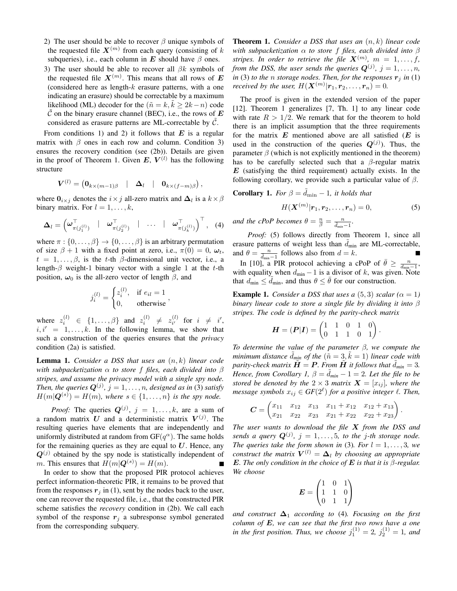- 2) The user should be able to recover  $\beta$  unique symbols of the requested file  $X^{(m)}$  from each query (consisting of k subqueries), i.e., each column in E should have  $\beta$  ones.
- 3) The user should be able to recover all  $\beta k$  symbols of the requested file  $X^{(m)}$ . This means that all rows of E (considered here as length- $k$  erasure patterns, with a one indicating an erasure) should be correctable by a maximum likelihood (ML) decoder for the ( $\tilde{n} = k, k \geq 2k - n$ ) code C on the binary erasure channel (BEC), i.e., the rows of  $E$ considered as erasure patterns are ML-correctable by  $C$ .

From conditions 1) and 2) it follows that  $E$  is a regular matrix with  $\beta$  ones in each row and column. Condition 3) ensures the recovery condition (see (2b)). Details are given in the proof of Theorem 1. Given E,  $V^{(l)}$  has the following structure

$$
\boldsymbol{V}^{(l)} = \begin{pmatrix} \mathbf{0}_{k \times (m-1)\beta} & | & \boldsymbol{\Delta}_l & | & \mathbf{0}_{k \times (f-m)\beta} \end{pmatrix},
$$

where  $0_{i\times j}$  denotes the  $i\times j$  all-zero matrix and  $\Delta_l$  is a  $k\times\beta$ binary matrix. For  $l = 1, \ldots, k$ ,

$$
\Delta_l = \left(\boldsymbol{\omega}_{\pi(j_1^{(l)})}^{\top} \mid \boldsymbol{\omega}_{\pi(j_2^{(l)})}^{\top} \mid \cdots \mid \boldsymbol{\omega}_{\pi(j_k^{(l)})}^{\top}\right)^{\top}, \quad (4)
$$

where  $\pi : \{0, \ldots, \beta\} \to \{0, \ldots, \beta\}$  is an arbitrary permutation of size  $\beta + 1$  with a fixed point at zero, i.e.,  $\pi(0) = 0$ ,  $\omega_t$ ,  $t = 1, \ldots, \beta$ , is the t-th  $\beta$ -dimensional unit vector, i.e., a length- $\beta$  weight-1 binary vector with a single 1 at the t-th position,  $\omega_0$  is the all-zero vector of length  $\beta$ , and

$$
j_i^{(l)} = \begin{cases} z_i^{(l)}, & \text{if } e_{il} = 1\\ 0, & \text{otherwise} \end{cases}
$$

,

where  $z_i^{(l)} \in \{1, ..., \beta\}$  and  $z_i^{(l)} \neq z_{i'}^{(l)}$  $\begin{array}{cc} (l) \\ i' \end{array}$  for  $i \neq i'$ ,  $i, i' = 1, \ldots, k$ . In the following lemma, we show that such a construction of the queries ensures that the *privacy* condition (2a) is satisfied.

Lemma 1. *Consider a DSS that uses an* (n, k) *linear code with subpacketization* α *to store* f *files, each divided into* β *stripes, and assume the privacy model with a single spy node.* Then, the queries  $\mathbf{Q}^{(j)}$ ,  $j = 1, \ldots, n$ , designed as in (3) satisfy  $H(m|\mathbf{Q}^{(s)}) = H(m)$ , where  $s \in \{1, \ldots, n\}$  is the spy node.

*Proof:* The queries  $Q^{(j)}$ ,  $j = 1, ..., k$ , are a sum of a random matrix U and a deterministic matrix  $V^{(j)}$ . The resulting queries have elements that are independently and uniformly distributed at random from  $GF(q^{\alpha})$ . The same holds for the remaining queries as they are equal to  $U$ . Hence, any  $Q^{(j)}$  obtained by the spy node is statistically independent of *m*. This ensures that  $H(m|\mathbf{Q}^{(s)}) = H(m)$ .

In order to show that the proposed PIR protocol achieves perfect information-theoretic PIR, it remains to be proved that from the responses  $r_j$  in (1), sent by the nodes back to the user, one can recover the requested file, i.e., that the constructed PIR scheme satisfies the *recovery* condition in (2b). We call each symbol of the response  $r_i$  a subresponse symbol generated from the corresponding subquery.

Theorem 1. *Consider a DSS that uses an* (n, k) *linear code with subpacketization* α *to store* f *files, each divided into* β *stripes. In order to retrieve the file*  $\boldsymbol{X}^{(m)}$ ,  $m = 1, \ldots, f$ , *from the DSS, the user sends the queries*  $Q^{(j)}$ ,  $j = 1, \ldots, n$ , *in* (3) *to the n storage nodes. Then, for the responses*  $\mathbf{r}_i$  *in* (1) *received by the user,*  $H(\mathbf{X}^{(m)}|\mathbf{r}_1, \mathbf{r}_2, \dots, \mathbf{r}_n) = 0.$ 

The proof is given in the extended version of the paper [12]. Theorem 1 generalizes [7, Th. 1] to any linear code with rate  $R > 1/2$ . We remark that for the theorem to hold there is an implicit assumption that the three requirements for the matrix  $E$  mentioned above are all satisfied  $(E$  is used in the construction of the queries  $Q^{(j)}$ ). Thus, the parameter  $\beta$  (which is not explicitly mentioned in the theorem) has to be carefully selected such that a  $\beta$ -regular matrix  $E$  (satisfying the third requirement) actually exists. In the following corollary, we provide such a particular value of  $\beta$ .

**Corollary 1.** For 
$$
\beta = \tilde{d}_{\min} - 1
$$
, it holds that  

$$
H(\mathbf{X}^{(m)}|\mathbf{r}_1, \mathbf{r}_2, \dots, \mathbf{r}_n) = 0,
$$
 (5)

*and the cPoP becomes*  $\theta = \frac{n}{\beta} = \frac{n}{\tilde{d}_{min}-1}$ .

*Proof:* (5) follows directly from Theorem 1, since all erasure patterns of weight less than  $d_{\text{min}}$  are ML-correctable, and  $\theta = \frac{n}{\tilde{d}_{\min}-1}$  follows also from  $d = k$ .

In [10], a PIR protocol achieving a cPoP of  $\bar{\theta} \geq \frac{n}{d_{\min}-1}$ , with equality when  $d_{\min} - 1$  is a divisor of k, was given. Note that  $d_{\min} \leq d_{\min}$ , and thus  $\theta \leq \theta$  for our construction.

**Example 1.** *Consider a DSS that uses a*  $(5,3)$  *scalar*  $(\alpha = 1)$ *binary linear code to store a single file by dividing it into* β *stripes. The code is defined by the parity-check matrix*

$$
H = (P|I) = \begin{pmatrix} 1 & 1 & 0 & 1 & 0 \\ 0 & 1 & 1 & 0 & 1 \end{pmatrix}
$$

.

*To determine the value of the parameter* β*, we compute the minimum distance*  $\tilde{d}_{min}$  of the  $(\tilde{n} = 3, \tilde{k} = 1)$  *linear code with parity-check matrix*  $\tilde{H} = P$ *. From*  $\tilde{H}$  *it follows that*  $\tilde{d}_{min} = 3$ *. Hence, from Corollary 1,*  $\beta = d_{min} - 1 = 2$ *. Let the file to be stored be denoted by the*  $2 \times 3$  *matrix*  $\mathbf{X} = [x_{ij}]$ *, where the message symbols*  $x_{ij} \in GF(2^{\ell})$  *for a positive integer*  $\ell$ *. Then,* 

$$
C = \begin{pmatrix} x_{11} & x_{12} & x_{13} & x_{11} + x_{12} & x_{12} + x_{13} \\ x_{21} & x_{22} & x_{23} & x_{21} + x_{22} & x_{22} + x_{23} \end{pmatrix}.
$$

*The user wants to download the file* X *from the DSS and* sends a query  $Q^{(j)}$ ,  $j = 1, \ldots, 5$ , to the j-th storage node. *The queries take the form shown in* (3)*. For*  $l = 1, \ldots, 3$ *, we construct the matrix*  $V^{(l)} = \Delta_l$  *by choosing an appropriate* E. The only condition in the choice of  $E$  is that it is  $\beta$ -regular. *We choose*

$$
E = \begin{pmatrix} 1 & 0 & 1 \\ 1 & 1 & 0 \\ 0 & 1 & 1 \end{pmatrix}
$$

*and construct*  $\Delta_1$  *according to* (4)*. Focusing on the first column of* E*, we can see that the first two rows have a one in the first position. Thus, we choose*  $j_1^{(1)} = 2$ ,  $j_2^{(1)} = 1$ , and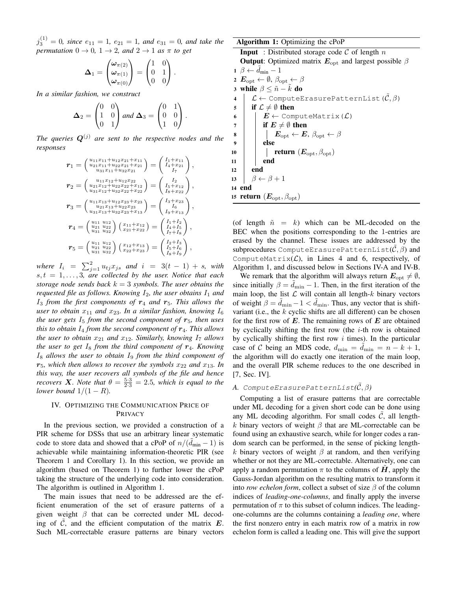$j_3^{(1)} = 0$ , since  $e_{11} = 1$ ,  $e_{21} = 1$ , and  $e_{31} = 0$ , and take the *permutation*  $0 \rightarrow 0$ ,  $1 \rightarrow 2$ , and  $2 \rightarrow 1$  *as*  $\pi$  *to get* 

$$
\mathbf{\Delta}_1 = \begin{pmatrix} \omega_{\pi(2)} \\ \omega_{\pi(1)} \\ \omega_{\pi(0)} \end{pmatrix} = \begin{pmatrix} 1 & 0 \\ 0 & 1 \\ 0 & 0 \end{pmatrix}.
$$

*In a similar fashion, we construct*

$$
\mathbf{\Delta}_2 = \begin{pmatrix} 0 & 0 \\ 1 & 0 \\ 0 & 1 \end{pmatrix} \text{ and } \mathbf{\Delta}_3 = \begin{pmatrix} 0 & 1 \\ 0 & 0 \\ 1 & 0 \end{pmatrix}.
$$

*The queries*  $Q^{(j)}$  *are sent to the respective nodes and the responses*

$$
r_1 = \begin{pmatrix} u_{11}x_{11} + u_{12}x_{21} + x_{11} \\ u_{21}x_{11} + u_{22}x_{21} + x_{21} \\ u_{31}x_{11} + u_{32}x_{21} \end{pmatrix} = \begin{pmatrix} I_1 + x_{11} \\ I_4 + x_{21} \\ I_7 \end{pmatrix},
$$
  
\n
$$
r_2 = \begin{pmatrix} u_{11}x_{12} + u_{12}x_{22} \\ u_{21}x_{12} + u_{22}x_{22} + x_{12} \\ u_{31}x_{12} + u_{32}x_{22} + x_{22} \end{pmatrix} = \begin{pmatrix} I_2 \\ I_5 + x_{12} \\ I_8 + x_{22} \end{pmatrix},
$$
  
\n
$$
r_3 = \begin{pmatrix} u_{11}x_{13} + u_{12}x_{23} + x_{23} \\ u_{21}x_{13} + u_{22}x_{23} + x_{23} \\ u_{31}x_{13} + u_{32}x_{23} + x_{13} \end{pmatrix} = \begin{pmatrix} I_3 + x_{23} \\ I_6 \\ I_9 + x_{13} \end{pmatrix},
$$
  
\n
$$
r_4 = \begin{pmatrix} u_{11} & u_{12} \\ u_{21} & u_{22} \\ u_{31} & u_{32} \end{pmatrix} \begin{pmatrix} x_{11} + x_{12} \\ x_{21} + x_{22} \end{pmatrix} = \begin{pmatrix} I_1 + I_2 \\ I_4 + I_5 \\ I_7 + I_8 \end{pmatrix},
$$
  
\n
$$
r_5 = \begin{pmatrix} u_{11} & u_{12} \\ u_{21} & u_{22} \\ u_{31} & u_{32} \end{pmatrix} \begin{pmatrix} x_{12} + x_{13} \\ x_{22} + x_{23} \end{pmatrix} = \begin{pmatrix} I_2 + I_3 \\ I_5 + I_6 \\ I_8 + I_9 \end{pmatrix},
$$

*where*  $I_i = \sum_{j=1}^{2} u_{tj}x_{js}$  *and*  $i = 3(t - 1) + s$ *, with*  $s, t = 1, \ldots, 3$ , are collected by the user. Notice that each *storage node sends back*  $k = 3$  *symbols. The user obtains the requested file as follows. Knowing*  $I_2$ *, the user obtains*  $I_1$  *and*  $I_3$  *from the first components of*  $r_4$  *and*  $r_5$ *. This allows the user to obtain*  $x_{11}$  *and*  $x_{23}$ *. In a similar fashion, knowing*  $I_6$ *the user gets*  $I_5$  *from the second component of*  $r_5$ *, then uses this to obtain*  $I_4$  *from the second component of*  $r_4$ *. This allows the user to obtain*  $x_{21}$  *and*  $x_{12}$ *. Similarly, knowing*  $I_7$  *allows the user to get*  $I_8$  *from the third component of*  $r_4$ *. Knowing* I<sup>8</sup> *allows the user to obtain* I<sup>9</sup> *from the third component of*  $r_5$ *, which then allows to recover the symbols*  $x_{22}$  *and*  $x_{13}$ *. In this way, the user recovers all symbols of the file and hence recovers* **X***. Note that*  $\theta = \frac{5 \cdot 3}{2 \cdot 3} = 2.5$ , which is equal to the *lower bound*  $1/(1 - R)$ *.* 

# IV. OPTIMIZING THE COMMUNICATION PRICE OF PRIVACY

In the previous section, we provided a construction of a PIR scheme for DSSs that use an arbitrary linear systematic code to store data and showed that a cPoP of  $n/(\tilde{d}_{\min} - 1)$  is achievable while maintaining information-theoretic PIR (see Theorem 1 and Corollary 1). In this section, we provide an algorithm (based on Theorem 1) to further lower the cPoP taking the structure of the underlying code into consideration. The algorithm is outlined in Algorithm 1.

The main issues that need to be addressed are the efficient enumeration of the set of erasure patterns of a given weight  $\beta$  that can be corrected under ML decoding of  $\tilde{C}$ , and the efficient computation of the matrix  $\boldsymbol{E}$ . Such ML-correctable erasure patterns are binary vectors

Algorithm 1: Optimizing the cPoP **Input** : Distributed storage code  $C$  of length  $n$ **Output:** Optimized matrix  $E_{opt}$  and largest possible  $\beta$  $1 \ \beta \leftarrow d_{\min} - 1$ 2  $\mathbf{E}_{\text{opt}} \leftarrow \emptyset$ ,  $\beta_{\text{opt}} \leftarrow \beta$ 3 while  $\beta \leq \tilde{n} - k$  do 4  $\mathcal{L} \leftarrow$  ComputeErasurePatternList( $\tilde{\mathcal{C}}, \beta$ ) 5 if  $\mathcal{L} \neq \emptyset$  then 6  $\left| E \leftarrow$  ComputeMatrix( $\mathcal{L}$ ) 7 if  $E \neq \emptyset$  then 8  $\vert \vert \vert$   $\vert$   $\bm{E}_{\rm opt} \leftarrow \bm{E}, \beta_{\rm opt} \leftarrow \beta$  $9$  | else 10 **return**  $(E_{\text{opt}}, \beta_{\text{opt}})$  $11$  end  $12$  end 13  $\beta \leftarrow \beta + 1$ 14 end 15 return  $(E_{\text{opt}}, \beta_{\text{opt}})$ 

(of length  $\tilde{n} = k$ ) which can be ML-decoded on the BEC when the positions corresponding to the 1-entries are erased by the channel. These issues are addressed by the subprocedures ComputeErasurePatternList( $\hat{\mathcal{C}}, \beta$ ) and ComputeMatrix $(L)$ , in Lines 4 and 6, respectively, of Algorithm 1, and discussed below in Sections IV-A and IV-B.

We remark that the algorithm will always return  $E_{opt} \neq \emptyset$ , since initially  $\beta = d_{\text{min}} - 1$ . Then, in the first iteration of the main loop, the list  $\mathcal L$  will contain all length- $k$  binary vectors of weight  $\beta = d_{\min} - 1 < \tilde{d}_{\min}$ . Thus, any vector that is shiftvariant (i.e., the  $k$  cyclic shifts are all different) can be chosen for the first row of  $E$ . The remaining rows of  $E$  are obtained by cyclically shifting the first row (the  $i$ -th row is obtained by cyclically shifting the first row  $i$  times). In the particular case of C being an MDS code,  $d_{\min} = d_{\min} = n - k + 1$ , the algorithm will do exactly one iteration of the main loop, and the overall PIR scheme reduces to the one described in [7, Sec. IV].

# *A.* ComputeErasurePatternList $(\tilde{C}, \beta)$

Computing a list of erasure patterns that are correctable under ML decoding for a given short code can be done using any ML decoding algorithm. For small codes  $C$ , all lengthk binary vectors of weight  $\beta$  that are ML-correctable can be found using an exhaustive search, while for longer codes a random search can be performed, in the sense of picking lengthk binary vectors of weight  $\beta$  at random, and then verifying whether or not they are ML-correctable. Alternatively, one can apply a random permutation  $\pi$  to the columns of  $H$ , apply the Gauss-Jordan algorithm on the resulting matrix to transform it into *row echelon form*, collect a subset of size  $\beta$  of the column indices of *leading-one-columns*, and finally apply the inverse permutation of  $\pi$  to this subset of column indices. The leadingone-columns are the columns containing a *leading one*, where the first nonzero entry in each matrix row of a matrix in row echelon form is called a leading one. This will give the support